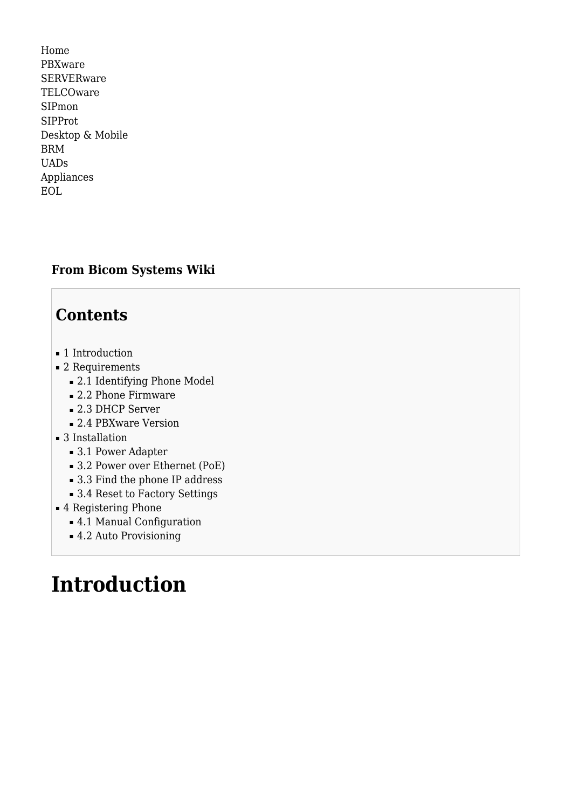[Home](http://wiki.bicomsystems.com/Main_Page) [PBXware](http://wiki.bicomsystems.com/PBXware) **[SERVERware](http://wiki.bicomsystems.com/SERVERware) [TELCOware](http://wiki.bicomsystems.com/TELCOware)** [SIPmon](http://wiki.bicomsystems.com/SIPmon) [SIPProt](http://wiki.bicomsystems.com/SIPProt) [Desktop & Mobile](http://wiki.bicomsystems.com/Desktop_and_Mobile) [BRM](http://wiki.bicomsystems.com/BRM) [UADs](http://wiki.bicomsystems.com/UADs) [Appliances](http://wiki.bicomsystems.com/Appliances) [EOL](http://wiki.bicomsystems.com/EOL)

### **From Bicom Systems Wiki**

### **Contents**

- [1](#page--1-0) [Introduction](#page--1-0)
- [2](#page--1-0) [Requirements](#page--1-0)
	- [2.1](#page--1-0) [Identifying Phone Model](#page--1-0)
	- [2.2](#page--1-0) [Phone Firmware](#page--1-0)
	- [2.3](#page--1-0) [DHCP Server](#page--1-0)
	- [2.4](#page--1-0) [PBXware Version](#page--1-0)
- [3](#page--1-0) [Installation](#page--1-0)
	- [3.1](#page--1-0) [Power Adapter](#page--1-0)
	- [3.2](#Power_over_Ethernet_.28PoE.29) [Power over Ethernet \(PoE\)](#Power_over_Ethernet_.28PoE.29)
	- [3.3](#page--1-0) [Find the phone IP address](#page--1-0)
	- [3.4](#page--1-0) [Reset to Factory Settings](#page--1-0)
- [4](#page--1-0) [Registering Phone](#page--1-0)
	- [4.1](#page--1-0) [Manual Configuration](#page--1-0)
	- [4.2](#page--1-0) [Auto Provisioning](#page--1-0)

# **Introduction**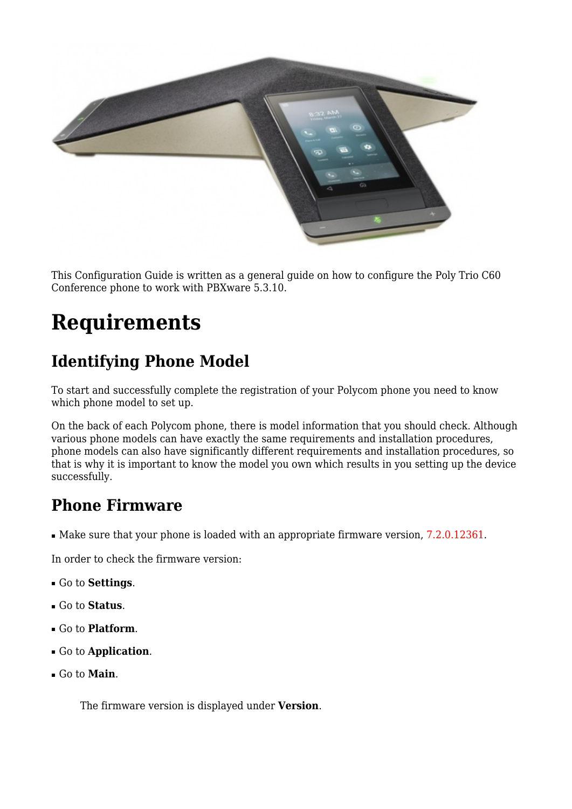

This Configuration Guide is written as a general guide on how to configure the Poly Trio C60 Conference phone to work with PBXware 5.3.10.

# **Requirements**

# **Identifying Phone Model**

To start and successfully complete the registration of your Polycom phone you need to know which phone model to set up.

On the back of each Polycom phone, there is model information that you should check. Although various phone models can have exactly the same requirements and installation procedures, phone models can also have significantly different requirements and installation procedures, so that is why it is important to know the model you own which results in you setting up the device successfully.

## **Phone Firmware**

■ Make sure that your phone is loaded with an appropriate firmware version, 7.2.0.12361.

In order to check the firmware version:

- Go to **Settings**.
- Go to **Status**.
- Go to **Platform**.
- Go to **Application**.
- Go to **Main**.

The firmware version is displayed under **Version**.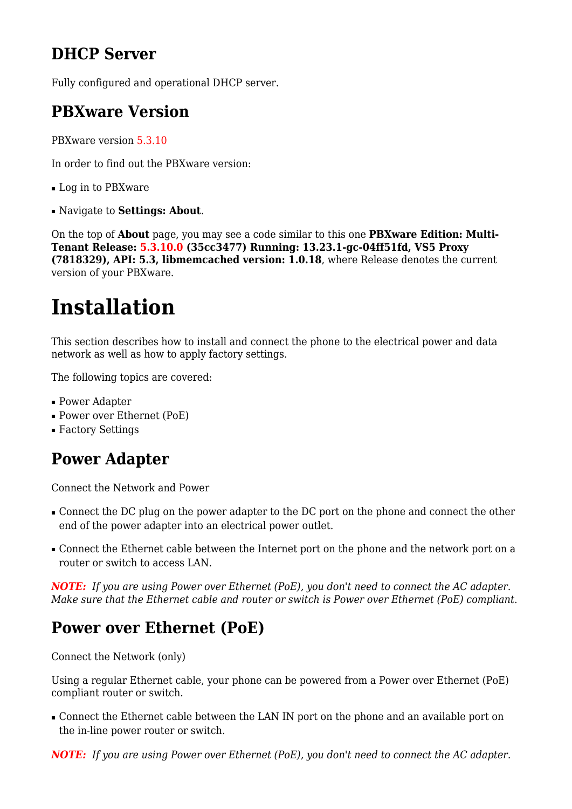## **DHCP Server**

Fully configured and operational DHCP server.

### **PBXware Version**

PBXware version 5.3.10

In order to find out the PBXware version:

- Log in to PBXware
- Navigate to **Settings: About**.

On the top of **About** page, you may see a code similar to this one **PBXware Edition: Multi-Tenant Release: 5.3.10.0 (35cc3477) Running: 13.23.1-gc-04ff51fd, VS5 Proxy (7818329), API: 5.3, libmemcached version: 1.0.18**, where Release denotes the current version of your PBXware.

# **Installation**

This section describes how to install and connect the phone to the electrical power and data network as well as how to apply factory settings.

The following topics are covered:

- Power Adapter
- Power over Ethernet (PoE)
- Factory Settings

## **Power Adapter**

Connect the Network and Power

- Connect the DC plug on the power adapter to the DC port on the phone and connect the other end of the power adapter into an electrical power outlet.
- Connect the Ethernet cable between the Internet port on the phone and the network port on a router or switch to access LAN.

*NOTE: If you are using Power over Ethernet (PoE), you don't need to connect the AC adapter. Make sure that the Ethernet cable and router or switch is Power over Ethernet (PoE) compliant*.

# **Power over Ethernet (PoE)**

Connect the Network (only)

Using a regular Ethernet cable, your phone can be powered from a Power over Ethernet (PoE) compliant router or switch.

■ Connect the Ethernet cable between the LAN IN port on the phone and an available port on the in-line power router or switch.

*NOTE: If you are using Power over Ethernet (PoE), you don't need to connect the AC adapter.*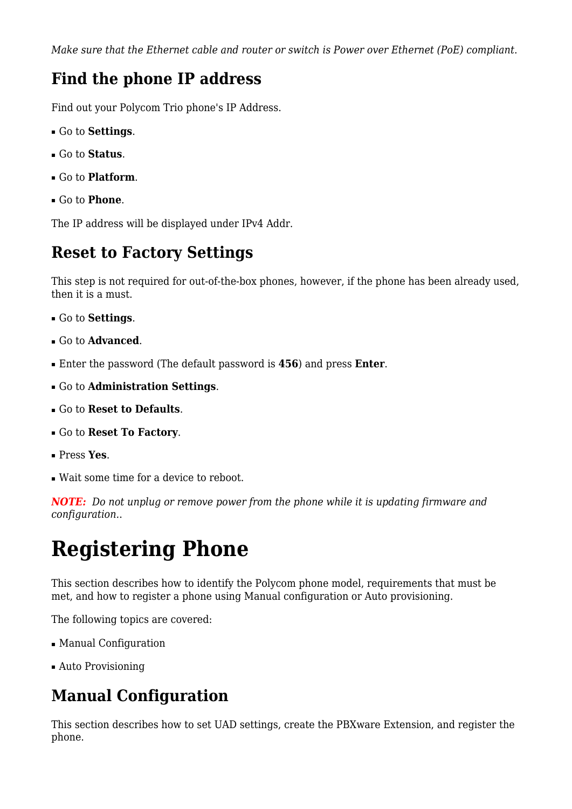*Make sure that the Ethernet cable and router or switch is Power over Ethernet (PoE) compliant*.

### **Find the phone IP address**

Find out your Polycom Trio phone's IP Address.

- Go to **Settings**.
- Go to **Status**.
- Go to **Platform**.
- Go to **Phone**.

The IP address will be displayed under IPv4 Addr.

### **Reset to Factory Settings**

This step is not required for out-of-the-box phones, however, if the phone has been already used, then it is a must.

- Go to **Settings**.
- Go to **Advanced**.
- Enter the password (The default password is **456**) and press **Enter**.
- Go to **Administration Settings**.
- Go to **Reset to Defaults**.
- Go to **Reset To Factory**.
- Press **Yes**.
- Wait some time for a device to reboot.

*NOTE: Do not unplug or remove power from the phone while it is updating firmware and configuration.*.

# **Registering Phone**

This section describes how to identify the Polycom phone model, requirements that must be met, and how to register a phone using Manual configuration or Auto provisioning.

The following topics are covered:

- Manual Configuration
- Auto Provisioning

# **Manual Configuration**

This section describes how to set UAD settings, create the PBXware Extension, and register the phone.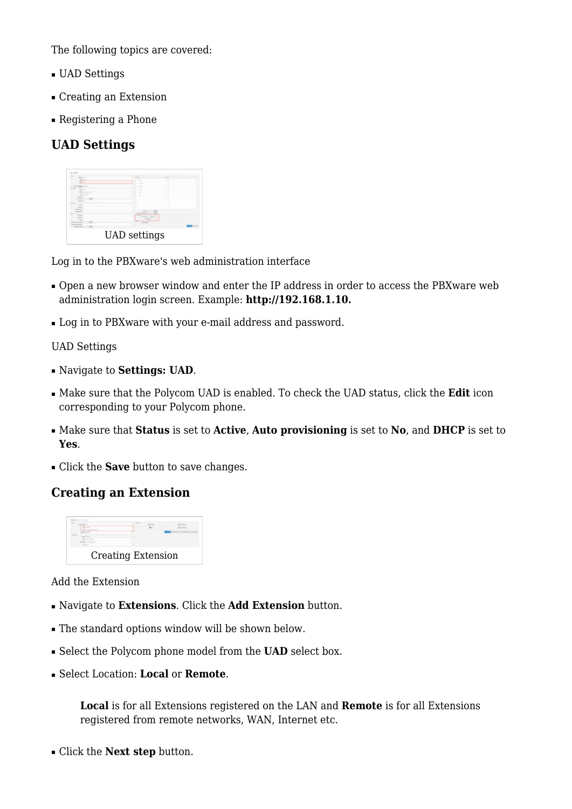The following topics are covered:

- UAD Settings
- Creating an Extension
- Registering a Phone

### **UAD Settings**



Log in to the PBXware's web administration interface

- Open a new browser window and enter the IP address in order to access the PBXware web administration login screen. Example: **<http://192.168.1.10>.**
- Log in to PBXware with your e-mail address and password.

#### UAD Settings

- Navigate to **Settings: UAD**.
- Make sure that the Polycom UAD is enabled. To check the UAD status, click the **Edit** icon corresponding to your Polycom phone.
- Make sure that **Status** is set to **Active**, **Auto provisioning** is set to **No**, and **DHCP** is set to **Yes**.
- Click the **Save** button to save changes.

### **Creating an Extension**



#### Add the Extension

- Navigate to **Extensions**. Click the **Add Extension** button.
- The standard options window will be shown below.
- Select the Polycom phone model from the **UAD** select box.
- Select Location: **Local** or **Remote**.

**Local** is for all Extensions registered on the LAN and **Remote** is for all Extensions registered from remote networks, WAN, Internet etc.

■ Click the **Next step** button.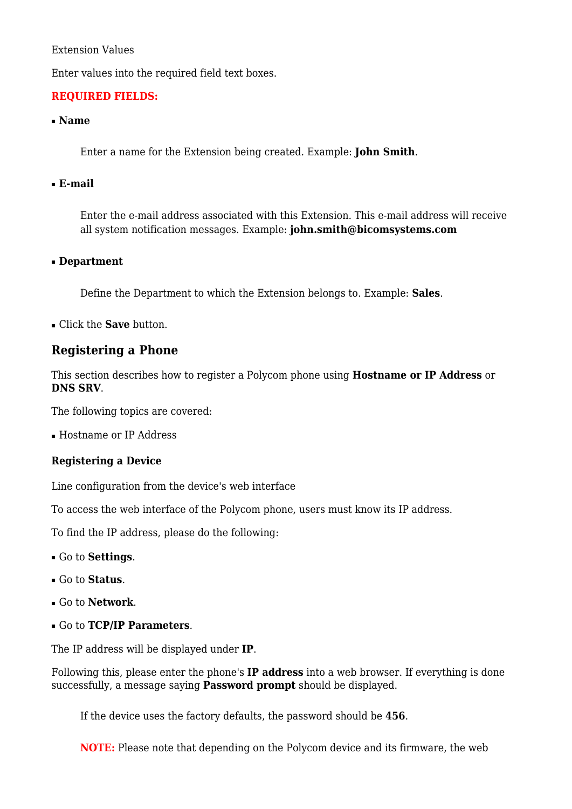#### Extension Values

Enter values into the required field text boxes.

#### **REQUIRED FIELDS:**

#### ■ **Name**

Enter a name for the Extension being created. Example: **John Smith**.

#### ■ **E-mail**

Enter the e-mail address associated with this Extension. This e-mail address will receive all system notification messages. Example: **john.smith@bicomsystems.com**

#### ■ **Department**

Define the Department to which the Extension belongs to. Example: **Sales**.

■ Click the **Save** button.

### **Registering a Phone**

This section describes how to register a Polycom phone using **Hostname or IP Address** or **DNS SRV**.

The following topics are covered:

■ Hostname or IP Address

#### **Registering a Device**

Line configuration from the device's web interface

To access the web interface of the Polycom phone, users must know its IP address.

To find the IP address, please do the following:

- Go to **Settings**.
- Go to **Status**.
- Go to **Network**.
- Go to **TCP/IP Parameters**.

The IP address will be displayed under **IP**.

Following this, please enter the phone's **IP address** into a web browser. If everything is done successfully, a message saying **Password prompt** should be displayed.

If the device uses the factory defaults, the password should be **456**.

**NOTE:** Please note that depending on the Polycom device and its firmware, the web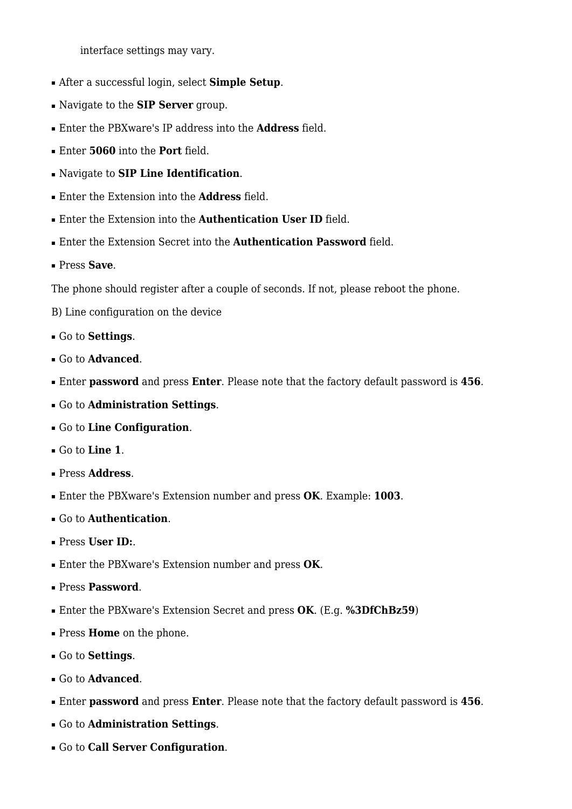interface settings may vary.

- After a successful login, select **Simple Setup**.
- Navigate to the **SIP Server** group.
- Enter the PBXware's IP address into the **Address** field.
- Enter **5060** into the **Port** field.
- Navigate to **SIP Line Identification**.
- Enter the Extension into the **Address** field.
- Enter the Extension into the **Authentication User ID** field.
- Enter the Extension Secret into the **Authentication Password** field.
- Press **Save**.

The phone should register after a couple of seconds. If not, please reboot the phone.

- B) Line configuration on the device
- Go to **Settings**.
- Go to **Advanced**.
- Enter **password** and press **Enter**. Please note that the factory default password is **456**.
- Go to **Administration Settings**.
- Go to **Line Configuration**.
- Go to **Line 1**.
- Press **Address**.
- Enter the PBXware's Extension number and press **OK**. Example: **1003**.
- Go to **Authentication**.
- Press **User ID:**.
- Enter the PBXware's Extension number and press **OK**.
- Press **Password**.
- Enter the PBXware's Extension Secret and press **OK**. (E.g. **%3DfChBz59**)
- Press **Home** on the phone.
- Go to **Settings**.
- Go to **Advanced**.
- Enter **password** and press **Enter**. Please note that the factory default password is **456**.
- Go to **Administration Settings**.
- Go to **Call Server Configuration**.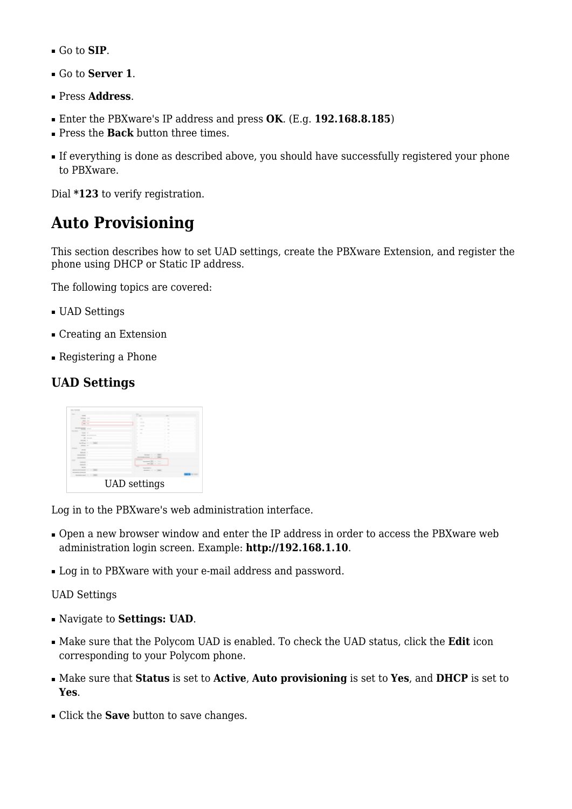- Go to **SIP**.
- Go to **Server 1**.
- Press **Address**.
- Enter the PBXware's IP address and press **OK**. (E.g. **192.168.8.185**)
- Press the **Back** button three times.
- If everything is done as described above, you should have successfully registered your phone to PBXware.

Dial **\*123** to verify registration.

## **Auto Provisioning**

This section describes how to set UAD settings, create the PBXware Extension, and register the phone using DHCP or Static IP address.

The following topics are covered:

- UAD Settings
- Creating an Extension
- Registering a Phone

### **UAD Settings**



Log in to the PBXware's web administration interface.

- Open a new browser window and enter the IP address in order to access the PBXware web administration login screen. Example: **<http://192.168.1.10>**.
- Log in to PBXware with your e-mail address and password.

UAD Settings

- Navigate to **Settings: UAD**.
- Make sure that the Polycom UAD is enabled. To check the UAD status, click the **Edit** icon corresponding to your Polycom phone.
- Make sure that **Status** is set to **Active**, **Auto provisioning** is set to **Yes**, and **DHCP** is set to **Yes**.
- Click the **Save** button to save changes.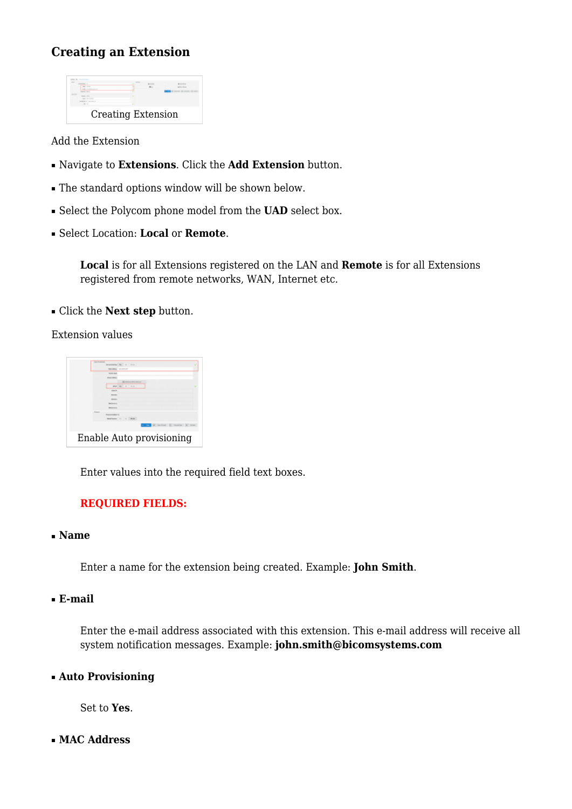### **Creating an Extension**



Add the Extension

- Navigate to **Extensions**. Click the **Add Extension** button.
- The standard options window will be shown below.
- Select the Polycom phone model from the **UAD** select box.
- Select Location: **Local** or **Remote**.

**Local** is for all Extensions registered on the LAN and **Remote** is for all Extensions registered from remote networks, WAN, Internet etc.

■ Click the **Next step** button.

Extension values



Enter values into the required field text boxes.

#### **REQUIRED FIELDS:**

#### ■ **Name**

Enter a name for the extension being created. Example: **John Smith**.

#### ■ **E-mail**

Enter the e-mail address associated with this extension. This e-mail address will receive all system notification messages. Example: **john.smith@bicomsystems.com**

#### ■ **Auto Provisioning**

Set to **Yes**.

■ **MAC Address**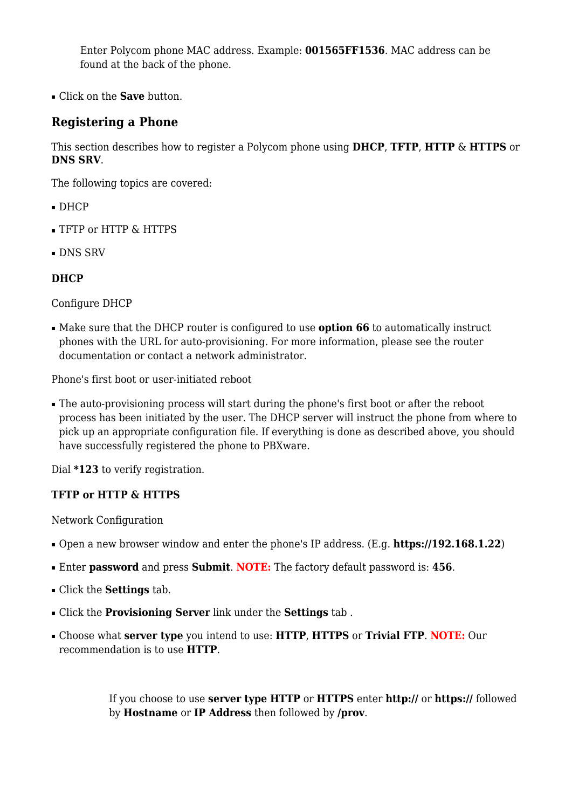Enter Polycom phone MAC address. Example: **001565FF1536**. MAC address can be found at the back of the phone.

■ Click on the **Save** button.

### **Registering a Phone**

This section describes how to register a Polycom phone using **DHCP**, **TFTP**, **HTTP** & **HTTPS** or **DNS SRV**.

The following topics are covered:

- DHCP
- TFTP or HTTP & HTTPS
- DNS SRV

#### **DHCP**

Configure DHCP

■ Make sure that the DHCP router is configured to use **option 66** to automatically instruct phones with the URL for auto-provisioning. For more information, please see the router documentation or contact a network administrator.

Phone's first boot or user-initiated reboot

■ The auto-provisioning process will start during the phone's first boot or after the reboot process has been initiated by the user. The DHCP server will instruct the phone from where to pick up an appropriate configuration file. If everything is done as described above, you should have successfully registered the phone to PBXware.

Dial **\*123** to verify registration.

#### **TFTP or HTTP & HTTPS**

Network Configuration

- Open a new browser window and enter the phone's IP address. (E.g. **<https://192.168.1.22>**)
- Enter **password** and press **Submit**. **NOTE:** The factory default password is: **456**.
- Click the **Settings** tab.
- Click the **Provisioning Server** link under the **Settings** tab .
- Choose what **server type** you intend to use: **HTTP**, **HTTPS** or **Trivial FTP**. **NOTE:** Our recommendation is to use **HTTP**.

If you choose to use **server type HTTP** or **HTTPS** enter **http://** or **https://** followed by **Hostname** or **IP Address** then followed by **/prov**.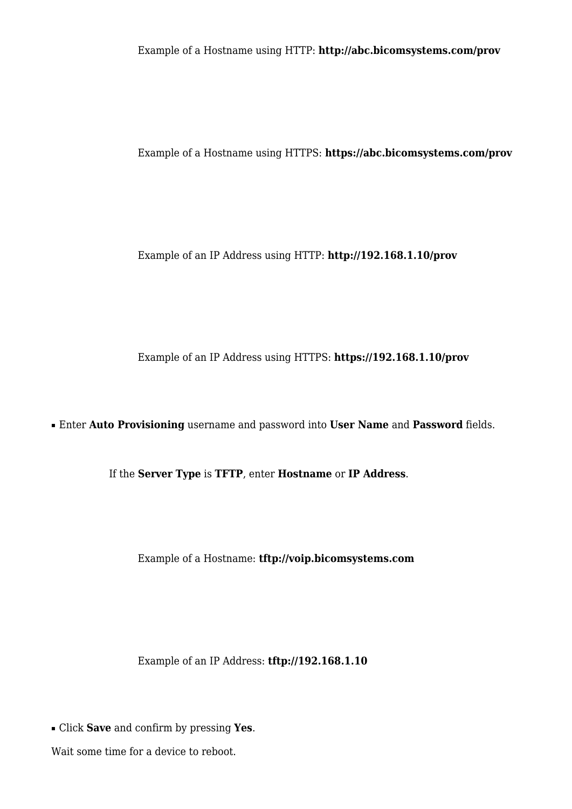Example of a Hostname using HTTP: **<http://abc.bicomsystems.com/prov>**

Example of a Hostname using HTTPS: **<https://abc.bicomsystems.com/prov>**

Example of an IP Address using HTTP: **<http://192.168.1.10/prov>**

Example of an IP Address using HTTPS: **<https://192.168.1.10/prov>**

■ Enter **Auto Provisioning** username and password into **User Name** and **Password** fields.

If the **Server Type** is **TFTP**, enter **Hostname** or **IP Address**.

Example of a Hostname: **tftp://voip.bicomsystems.com**

Example of an IP Address: **tftp://192.168.1.10**

■ Click **Save** and confirm by pressing **Yes**.

Wait some time for a device to reboot.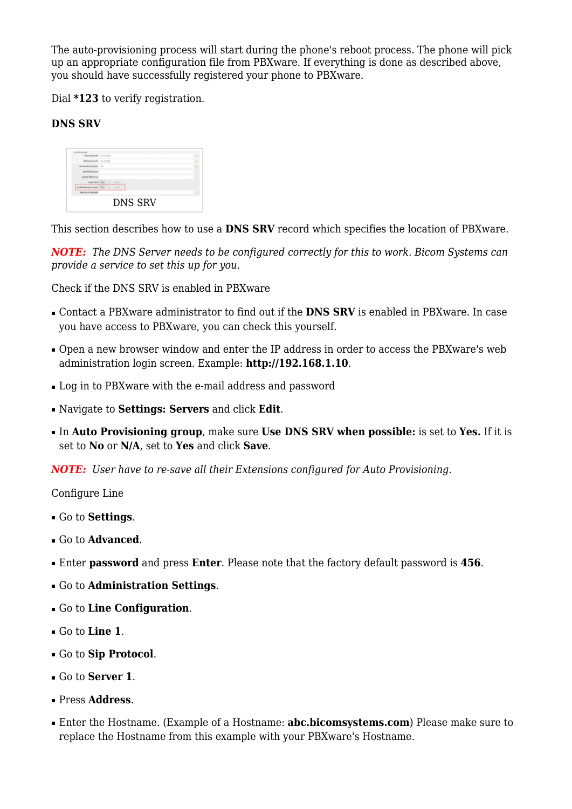The auto-provisioning process will start during the phone's reboot process. The phone will pick up an appropriate configuration file from PBXware. If everything is done as described above, you should have successfully registered your phone to PBXware.

Dial **\*123** to verify registration.

#### **DNS SRV**

|                                   |  |  |  |  | <b>DNS SRV</b> |  |  |  |  |
|-----------------------------------|--|--|--|--|----------------|--|--|--|--|
| <b>WAS RELEASED BY:</b>           |  |  |  |  |                |  |  |  |  |
| to promotion and the first state. |  |  |  |  |                |  |  |  |  |
| manager and the forms             |  |  |  |  |                |  |  |  |  |
| platform work comer               |  |  |  |  |                |  |  |  |  |
|                                   |  |  |  |  |                |  |  |  |  |
| THE NAME OF GROOM                 |  |  |  |  |                |  |  |  |  |
| <b>MAKING WALLET AND ARRESTS</b>  |  |  |  |  |                |  |  |  |  |
| LESTANDARD R. TH LTV 22           |  |  |  |  |                |  |  |  |  |
|                                   |  |  |  |  |                |  |  |  |  |

This section describes how to use a **DNS SRV** record which specifies the location of PBXware.

*NOTE: The DNS Server needs to be configured correctly for this to work. Bicom Systems can provide a service to set this up for you*.

Check if the DNS SRV is enabled in PBXware

- Contact a PBXware administrator to find out if the **DNS SRV** is enabled in PBXware. In case you have access to PBXware, you can check this yourself.
- Open a new browser window and enter the IP address in order to access the PBXware's web administration login screen. Example: **<http://192.168.1.10>**.
- Log in to PBXware with the e-mail address and password
- Navigate to **Settings: Servers** and click **Edit**.
- In **Auto Provisioning group**, make sure **Use DNS SRV when possible:** is set to **Yes.** If it is set to **No** or **N/A**, set to **Yes** and click **Save**.

*NOTE: User have to re-save all their Extensions configured for Auto Provisioning*.

Configure Line

- Go to **Settings**.
- Go to **Advanced**.
- Enter **password** and press **Enter**. Please note that the factory default password is **456**.
- Go to **Administration Settings**.
- Go to **Line Configuration**.
- Go to **Line 1**.
- Go to **Sip Protocol**.
- Go to **Server 1**.
- Press **Address**.
- Enter the Hostname. (Example of a Hostname: **abc.bicomsystems.com**) Please make sure to replace the Hostname from this example with your PBXware's Hostname.